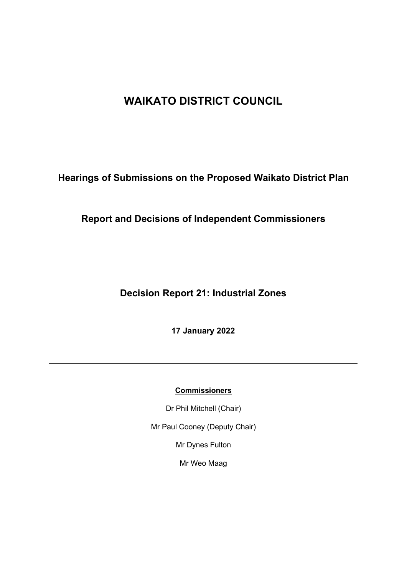# **WAIKATO DISTRICT COUNCIL**

**Hearings of Submissions on the Proposed Waikato District Plan**

**Report and Decisions of Independent Commissioners**

**Decision Report 21: Industrial Zones**

**17 January 2022**

# **Commissioners**

Dr Phil Mitchell (Chair)

Mr Paul Cooney (Deputy Chair)

Mr Dynes Fulton

Mr Weo Maag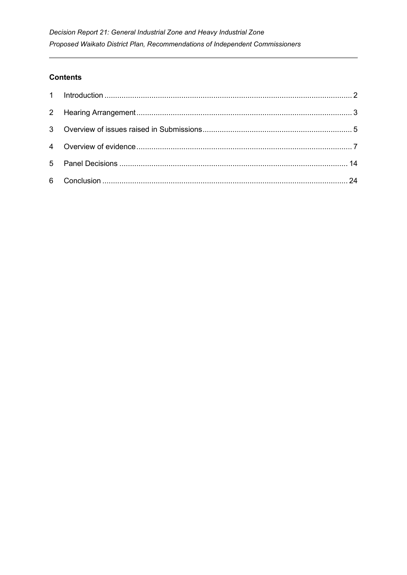# **Contents**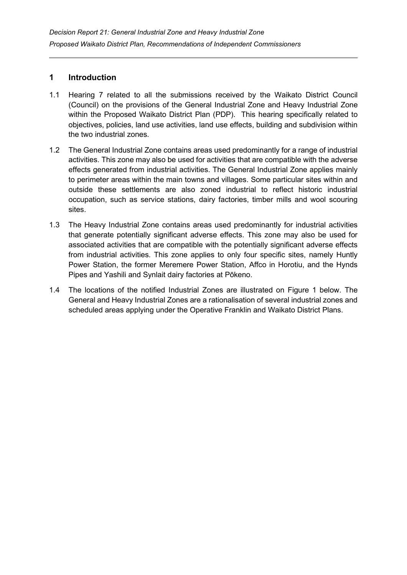# <span id="page-2-0"></span>**1 Introduction**

- 1.1 Hearing 7 related to all the submissions received by the Waikato District Council (Council) on the provisions of the General Industrial Zone and Heavy Industrial Zone within the Proposed Waikato District Plan (PDP). This hearing specifically related to objectives, policies, land use activities, land use effects, building and subdivision within the two industrial zones.
- 1.2 The General Industrial Zone contains areas used predominantly for a range of industrial activities. This zone may also be used for activities that are compatible with the adverse effects generated from industrial activities. The General Industrial Zone applies mainly to perimeter areas within the main towns and villages. Some particular sites within and outside these settlements are also zoned industrial to reflect historic industrial occupation, such as service stations, dairy factories, timber mills and wool scouring sites.
- 1.3 The Heavy Industrial Zone contains areas used predominantly for industrial activities that generate potentially significant adverse effects. This zone may also be used for associated activities that are compatible with the potentially significant adverse effects from industrial activities. This zone applies to only four specific sites, namely Huntly Power Station, the former Meremere Power Station, Affco in Horotiu, and the Hynds Pipes and Yashili and Synlait dairy factories at Pōkeno.
- 1.4 The locations of the notified Industrial Zones are illustrated on Figure 1 below. The General and Heavy Industrial Zones are a rationalisation of several industrial zones and scheduled areas applying under the Operative Franklin and Waikato District Plans.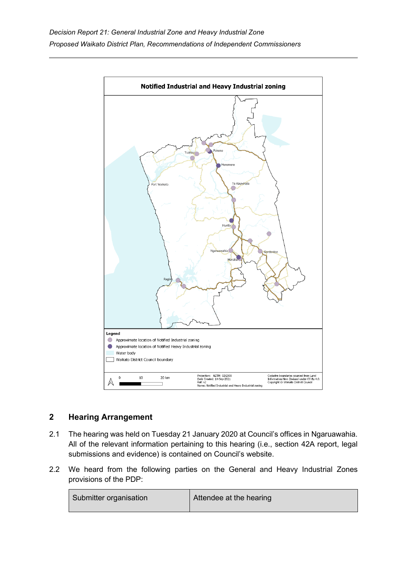

# <span id="page-3-0"></span>**2 Hearing Arrangement**

- 2.1 The hearing was held on Tuesday 21 January 2020 at Council's offices in Ngaruawahia. All of the relevant information pertaining to this hearing (i.e., section 42A report, legal submissions and evidence) is contained on Council's website.
- 2.2 We heard from the following parties on the General and Heavy Industrial Zones provisions of the PDP:

| Submitter organisation | Attendee at the hearing |
|------------------------|-------------------------|
|                        |                         |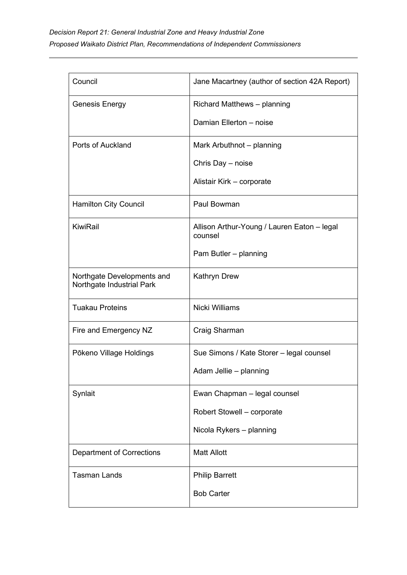| Council                                                 | Jane Macartney (author of section 42A Report)          |
|---------------------------------------------------------|--------------------------------------------------------|
| Genesis Energy                                          | Richard Matthews - planning                            |
|                                                         | Damian Ellerton - noise                                |
| Ports of Auckland                                       | Mark Arbuthnot - planning                              |
|                                                         | Chris Day - noise                                      |
|                                                         | Alistair Kirk - corporate                              |
| <b>Hamilton City Council</b>                            | Paul Bowman                                            |
| KiwiRail                                                | Allison Arthur-Young / Lauren Eaton - legal<br>counsel |
|                                                         | Pam Butler - planning                                  |
| Northgate Developments and<br>Northgate Industrial Park | <b>Kathryn Drew</b>                                    |
| <b>Tuakau Proteins</b>                                  | Nicki Williams                                         |
| Fire and Emergency NZ                                   | Craig Sharman                                          |
| Pōkeno Village Holdings                                 | Sue Simons / Kate Storer - legal counsel               |
|                                                         | Adam Jellie - planning                                 |
| Synlait                                                 | Ewan Chapman - legal counsel                           |
|                                                         | Robert Stowell - corporate                             |
|                                                         | Nicola Rykers - planning                               |
| <b>Department of Corrections</b>                        | <b>Matt Allott</b>                                     |
| <b>Tasman Lands</b>                                     | <b>Philip Barrett</b>                                  |
|                                                         | <b>Bob Carter</b>                                      |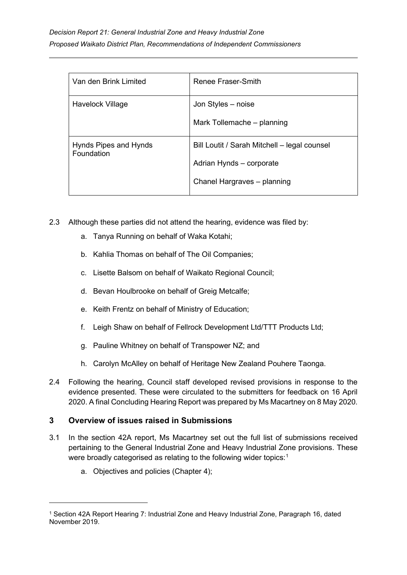| Van den Brink Limited               | Renee Fraser-Smith                                                                                      |
|-------------------------------------|---------------------------------------------------------------------------------------------------------|
| Havelock Village                    | Jon Styles - noise<br>Mark Tollemache - planning                                                        |
| Hynds Pipes and Hynds<br>Foundation | Bill Loutit / Sarah Mitchell – legal counsel<br>Adrian Hynds - corporate<br>Chanel Hargraves - planning |

- 2.3 Although these parties did not attend the hearing, evidence was filed by:
	- a. Tanya Running on behalf of Waka Kotahi;
	- b. Kahlia Thomas on behalf of The Oil Companies;
	- c. Lisette Balsom on behalf of Waikato Regional Council;
	- d. Bevan Houlbrooke on behalf of Greig Metcalfe;
	- e. Keith Frentz on behalf of Ministry of Education;
	- f. Leigh Shaw on behalf of Fellrock Development Ltd/TTT Products Ltd;
	- g. Pauline Whitney on behalf of Transpower NZ; and
	- h. Carolyn McAlley on behalf of Heritage New Zealand Pouhere Taonga.
- 2.4 Following the hearing, Council staff developed revised provisions in response to the evidence presented. These were circulated to the submitters for feedback on 16 April 2020. A final Concluding Hearing Report was prepared by Ms Macartney on 8 May 2020.

# <span id="page-5-0"></span>**3 Overview of issues raised in Submissions**

- 3.1 In the section 42A report, Ms Macartney set out the full list of submissions received pertaining to the General Industrial Zone and Heavy Industrial Zone provisions. These were broadly categorised as relating to the following wider topics:[1](#page-5-1)  $\,$ 
	- a. Objectives and policies (Chapter 4);

<span id="page-5-1"></span><sup>1</sup> Section 42A Report Hearing 7: Industrial Zone and Heavy Industrial Zone, Paragraph 16, dated November 2019.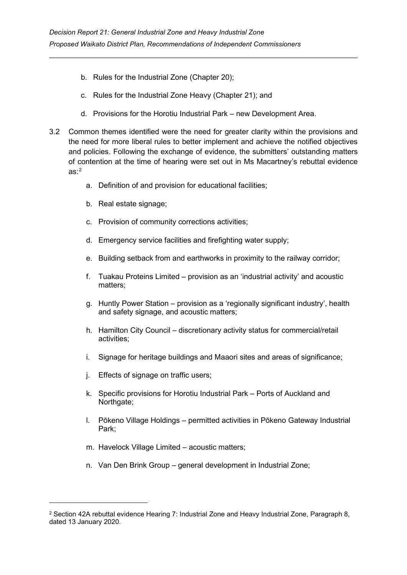- b. Rules for the Industrial Zone (Chapter 20);
- c. Rules for the Industrial Zone Heavy (Chapter 21); and
- d. Provisions for the Horotiu Industrial Park new Development Area.
- 3.2 Common themes identified were the need for greater clarity within the provisions and the need for more liberal rules to better implement and achieve the notified objectives and policies. Following the exchange of evidence, the submitters' outstanding matters of contention at the time of hearing were set out in Ms Macartney's rebuttal evidence as: $^2$  $^2$ 
	- a. Definition of and provision for educational facilities;
	- b. Real estate signage;
	- c. Provision of community corrections activities;
	- d. Emergency service facilities and firefighting water supply;
	- e. Building setback from and earthworks in proximity to the railway corridor;
	- f. Tuakau Proteins Limited provision as an 'industrial activity' and acoustic matters;
	- g. Huntly Power Station provision as a 'regionally significant industry', health and safety signage, and acoustic matters;
	- h. Hamilton City Council discretionary activity status for commercial/retail activities;
	- i. Signage for heritage buildings and Maaori sites and areas of significance;
	- j. Effects of signage on traffic users;
	- k. Specific provisions for Horotiu Industrial Park Ports of Auckland and Northgate;
	- l. Pōkeno Village Holdings permitted activities in Pōkeno Gateway Industrial Park;
	- m. Havelock Village Limited acoustic matters;
	- n. Van Den Brink Group general development in Industrial Zone;

<span id="page-6-0"></span><sup>2</sup> Section 42A rebuttal evidence Hearing 7: Industrial Zone and Heavy Industrial Zone, Paragraph 8, dated 13 January 2020.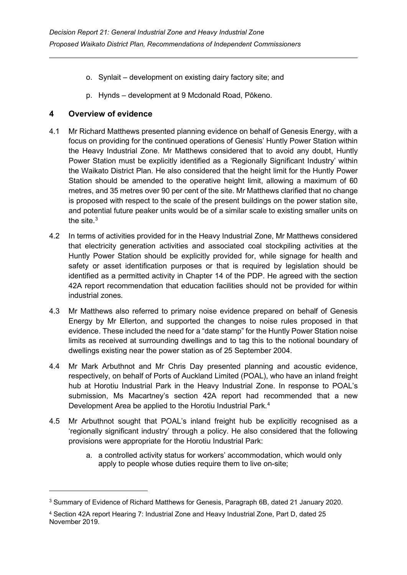- o. Synlait development on existing dairy factory site; and
- p. Hynds development at 9 Mcdonald Road, Pōkeno.

# <span id="page-7-0"></span>**4 Overview of evidence**

- 4.1 Mr Richard Matthews presented planning evidence on behalf of Genesis Energy, with a focus on providing for the continued operations of Genesis' Huntly Power Station within the Heavy Industrial Zone. Mr Matthews considered that to avoid any doubt, Huntly Power Station must be explicitly identified as a 'Regionally Significant Industry' within the Waikato District Plan. He also considered that the height limit for the Huntly Power Station should be amended to the operative height limit, allowing a maximum of 60 metres, and 35 metres over 90 per cent of the site. Mr Matthews clarified that no change is proposed with respect to the scale of the present buildings on the power station site, and potential future peaker units would be of a similar scale to existing smaller units on the site. $3$
- 4.2 In terms of activities provided for in the Heavy Industrial Zone, Mr Matthews considered that electricity generation activities and associated coal stockpiling activities at the Huntly Power Station should be explicitly provided for, while signage for health and safety or asset identification purposes or that is required by legislation should be identified as a permitted activity in Chapter 14 of the PDP. He agreed with the section 42A report recommendation that education facilities should not be provided for within industrial zones.
- 4.3 Mr Matthews also referred to primary noise evidence prepared on behalf of Genesis Energy by Mr Ellerton, and supported the changes to noise rules proposed in that evidence. These included the need for a "date stamp" for the Huntly Power Station noise limits as received at surrounding dwellings and to tag this to the notional boundary of dwellings existing near the power station as of 25 September 2004.
- 4.4 Mr Mark Arbuthnot and Mr Chris Day presented planning and acoustic evidence, respectively, on behalf of Ports of Auckland Limited (POAL), who have an inland freight hub at Horotiu Industrial Park in the Heavy Industrial Zone. In response to POAL's submission, Ms Macartney's section 42A report had recommended that a new Development Area be applied to the Horotiu Industrial Park.<sup>[4](#page-7-2)</sup>
- 4.5 Mr Arbuthnot sought that POAL's inland freight hub be explicitly recognised as a 'regionally significant industry' through a policy. He also considered that the following provisions were appropriate for the Horotiu Industrial Park:
	- a. a controlled activity status for workers' accommodation, which would only apply to people whose duties require them to live on-site;

<span id="page-7-1"></span><sup>3</sup> Summary of Evidence of Richard Matthews for Genesis, Paragraph 6B, dated 21 January 2020.

<span id="page-7-2"></span><sup>4</sup> Section 42A report Hearing 7: Industrial Zone and Heavy Industrial Zone, Part D, dated 25 November 2019.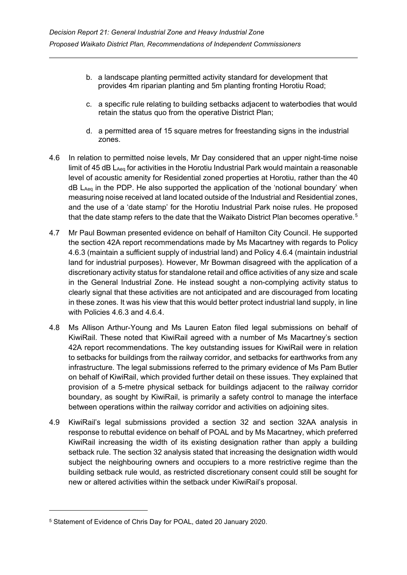- b. a landscape planting permitted activity standard for development that provides 4m riparian planting and 5m planting fronting Horotiu Road;
- c. a specific rule relating to building setbacks adjacent to waterbodies that would retain the status quo from the operative District Plan;
- d. a permitted area of 15 square metres for freestanding signs in the industrial zones.
- 4.6 In relation to permitted noise levels, Mr Day considered that an upper night-time noise limit of 45 dB LAeq for activities in the Horotiu Industrial Park would maintain a reasonable level of acoustic amenity for Residential zoned properties at Horotiu, rather than the 40 dB L<sub>Aeg</sub> in the PDP. He also supported the application of the 'notional boundary' when measuring noise received at land located outside of the Industrial and Residential zones, and the use of a 'date stamp' for the Horotiu Industrial Park noise rules. He proposed that the date stamp refers to the date that the Waikato District Plan becomes operative.<sup>[5](#page-8-0)</sup>
- 4.7 Mr Paul Bowman presented evidence on behalf of Hamilton City Council. He supported the section 42A report recommendations made by Ms Macartney with regards to Policy 4.6.3 (maintain a sufficient supply of industrial land) and Policy 4.6.4 (maintain industrial land for industrial purposes). However, Mr Bowman disagreed with the application of a discretionary activity status for standalone retail and office activities of any size and scale in the General Industrial Zone. He instead sought a non-complying activity status to clearly signal that these activities are not anticipated and are discouraged from locating in these zones. It was his view that this would better protect industrial land supply, in line with Policies 4.6.3 and 4.6.4.
- 4.8 Ms Allison Arthur-Young and Ms Lauren Eaton filed legal submissions on behalf of KiwiRail. These noted that KiwiRail agreed with a number of Ms Macartney's section 42A report recommendations. The key outstanding issues for KiwiRail were in relation to setbacks for buildings from the railway corridor, and setbacks for earthworks from any infrastructure. The legal submissions referred to the primary evidence of Ms Pam Butler on behalf of KiwiRail, which provided further detail on these issues. They explained that provision of a 5-metre physical setback for buildings adjacent to the railway corridor boundary, as sought by KiwiRail, is primarily a safety control to manage the interface between operations within the railway corridor and activities on adjoining sites.
- 4.9 KiwiRail's legal submissions provided a section 32 and section 32AA analysis in response to rebuttal evidence on behalf of POAL and by Ms Macartney, which preferred KiwiRail increasing the width of its existing designation rather than apply a building setback rule. The section 32 analysis stated that increasing the designation width would subject the neighbouring owners and occupiers to a more restrictive regime than the building setback rule would, as restricted discretionary consent could still be sought for new or altered activities within the setback under KiwiRail's proposal.

<span id="page-8-0"></span><sup>5</sup> Statement of Evidence of Chris Day for POAL, dated 20 January 2020.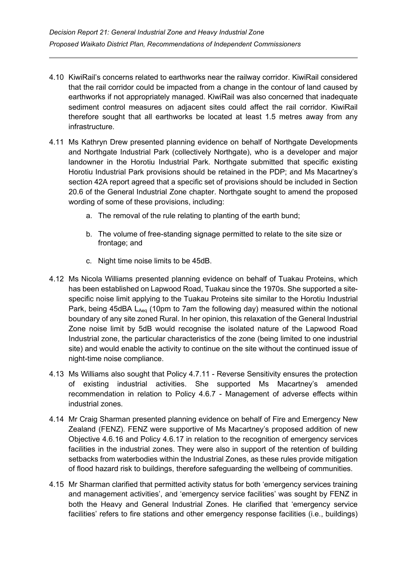- 4.10 KiwiRail's concerns related to earthworks near the railway corridor. KiwiRail considered that the rail corridor could be impacted from a change in the contour of land caused by earthworks if not appropriately managed. KiwiRail was also concerned that inadequate sediment control measures on adjacent sites could affect the rail corridor. KiwiRail therefore sought that all earthworks be located at least 1.5 metres away from any infrastructure.
- 4.11 Ms Kathryn Drew presented planning evidence on behalf of Northgate Developments and Northgate Industrial Park (collectively Northgate), who is a developer and major landowner in the Horotiu Industrial Park. Northgate submitted that specific existing Horotiu Industrial Park provisions should be retained in the PDP; and Ms Macartney's section 42A report agreed that a specific set of provisions should be included in Section 20.6 of the General Industrial Zone chapter. Northgate sought to amend the proposed wording of some of these provisions, including:
	- a. The removal of the rule relating to planting of the earth bund;
	- b. The volume of free-standing signage permitted to relate to the site size or frontage; and
	- c. Night time noise limits to be 45dB.
- 4.12 Ms Nicola Williams presented planning evidence on behalf of Tuakau Proteins, which has been established on Lapwood Road, Tuakau since the 1970s. She supported a sitespecific noise limit applying to the Tuakau Proteins site similar to the Horotiu Industrial Park, being 45dBA L<sub>Aeq</sub> (10pm to 7am the following day) measured within the notional boundary of any site zoned Rural. In her opinion, this relaxation of the General Industrial Zone noise limit by 5dB would recognise the isolated nature of the Lapwood Road Industrial zone, the particular characteristics of the zone (being limited to one industrial site) and would enable the activity to continue on the site without the continued issue of night-time noise compliance.
- 4.13 Ms Williams also sought that Policy 4.7.11 Reverse Sensitivity ensures the protection of existing industrial activities. She supported Ms Macartney's amended recommendation in relation to Policy 4.6.7 - Management of adverse effects within industrial zones.
- 4.14 Mr Craig Sharman presented planning evidence on behalf of Fire and Emergency New Zealand (FENZ). FENZ were supportive of Ms Macartney's proposed addition of new Objective 4.6.16 and Policy 4.6.17 in relation to the recognition of emergency services facilities in the industrial zones. They were also in support of the retention of building setbacks from waterbodies within the Industrial Zones, as these rules provide mitigation of flood hazard risk to buildings, therefore safeguarding the wellbeing of communities.
- 4.15 Mr Sharman clarified that permitted activity status for both 'emergency services training and management activities', and 'emergency service facilities' was sought by FENZ in both the Heavy and General Industrial Zones. He clarified that 'emergency service facilities' refers to fire stations and other emergency response facilities (i.e., buildings)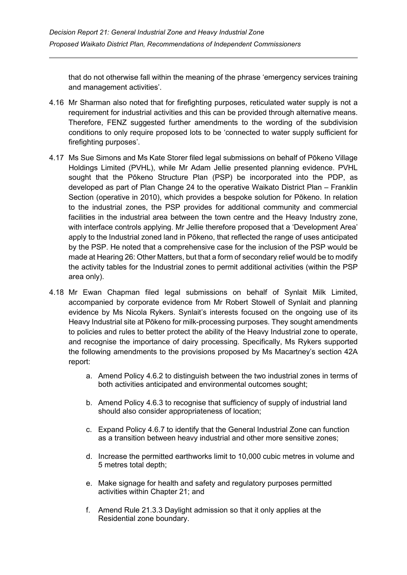that do not otherwise fall within the meaning of the phrase 'emergency services training and management activities'.

- 4.16 Mr Sharman also noted that for firefighting purposes, reticulated water supply is not a requirement for industrial activities and this can be provided through alternative means. Therefore, FENZ suggested further amendments to the wording of the subdivision conditions to only require proposed lots to be 'connected to water supply sufficient for firefighting purposes'.
- 4.17 Ms Sue Simons and Ms Kate Storer filed legal submissions on behalf of Pōkeno Village Holdings Limited (PVHL), while Mr Adam Jellie presented planning evidence. PVHL sought that the Pōkeno Structure Plan (PSP) be incorporated into the PDP, as developed as part of Plan Change 24 to the operative Waikato District Plan – Franklin Section (operative in 2010), which provides a bespoke solution for Pōkeno. In relation to the industrial zones, the PSP provides for additional community and commercial facilities in the industrial area between the town centre and the Heavy Industry zone, with interface controls applying. Mr Jellie therefore proposed that a 'Development Area' apply to the Industrial zoned land in Pōkeno, that reflected the range of uses anticipated by the PSP. He noted that a comprehensive case for the inclusion of the PSP would be made at Hearing 26: Other Matters, but that a form of secondary relief would be to modify the activity tables for the Industrial zones to permit additional activities (within the PSP area only).
- 4.18 Mr Ewan Chapman filed legal submissions on behalf of Synlait Milk Limited, accompanied by corporate evidence from Mr Robert Stowell of Synlait and planning evidence by Ms Nicola Rykers. Synlait's interests focused on the ongoing use of its Heavy Industrial site at Pōkeno for milk-processing purposes. They sought amendments to policies and rules to better protect the ability of the Heavy Industrial zone to operate, and recognise the importance of dairy processing. Specifically, Ms Rykers supported the following amendments to the provisions proposed by Ms Macartney's section 42A report:
	- a. Amend Policy 4.6.2 to distinguish between the two industrial zones in terms of both activities anticipated and environmental outcomes sought;
	- b. Amend Policy 4.6.3 to recognise that sufficiency of supply of industrial land should also consider appropriateness of location;
	- c. Expand Policy 4.6.7 to identify that the General Industrial Zone can function as a transition between heavy industrial and other more sensitive zones;
	- d. Increase the permitted earthworks limit to 10,000 cubic metres in volume and 5 metres total depth;
	- e. Make signage for health and safety and regulatory purposes permitted activities within Chapter 21; and
	- f. Amend Rule 21.3.3 Daylight admission so that it only applies at the Residential zone boundary.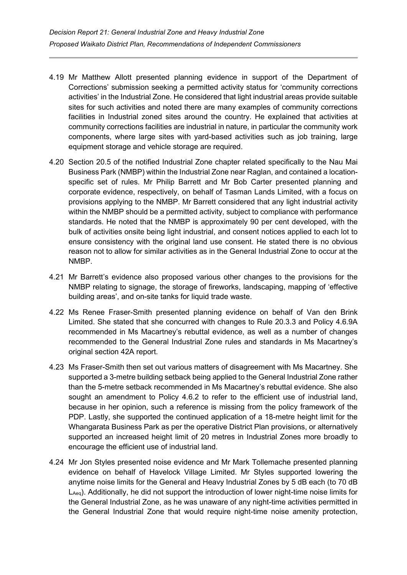- 4.19 Mr Matthew Allott presented planning evidence in support of the Department of Corrections' submission seeking a permitted activity status for 'community corrections activities' in the Industrial Zone. He considered that light industrial areas provide suitable sites for such activities and noted there are many examples of community corrections facilities in Industrial zoned sites around the country. He explained that activities at community corrections facilities are industrial in nature, in particular the community work components, where large sites with yard-based activities such as job training, large equipment storage and vehicle storage are required.
- 4.20 Section 20.5 of the notified Industrial Zone chapter related specifically to the Nau Mai Business Park (NMBP) within the Industrial Zone near Raglan, and contained a locationspecific set of rules. Mr Philip Barrett and Mr Bob Carter presented planning and corporate evidence, respectively, on behalf of Tasman Lands Limited, with a focus on provisions applying to the NMBP. Mr Barrett considered that any light industrial activity within the NMBP should be a permitted activity, subject to compliance with performance standards. He noted that the NMBP is approximately 90 per cent developed, with the bulk of activities onsite being light industrial, and consent notices applied to each lot to ensure consistency with the original land use consent. He stated there is no obvious reason not to allow for similar activities as in the General Industrial Zone to occur at the NMBP.
- 4.21 Mr Barrett's evidence also proposed various other changes to the provisions for the NMBP relating to signage, the storage of fireworks, landscaping, mapping of 'effective building areas', and on-site tanks for liquid trade waste.
- 4.22 Ms Renee Fraser-Smith presented planning evidence on behalf of Van den Brink Limited. She stated that she concurred with changes to Rule 20.3.3 and Policy 4.6.9A recommended in Ms Macartney's rebuttal evidence, as well as a number of changes recommended to the General Industrial Zone rules and standards in Ms Macartney's original section 42A report.
- 4.23 Ms Fraser-Smith then set out various matters of disagreement with Ms Macartney. She supported a 3-metre building setback being applied to the General Industrial Zone rather than the 5-metre setback recommended in Ms Macartney's rebuttal evidence. She also sought an amendment to Policy 4.6.2 to refer to the efficient use of industrial land, because in her opinion, such a reference is missing from the policy framework of the PDP. Lastly, she supported the continued application of a 18-metre height limit for the Whangarata Business Park as per the operative District Plan provisions, or alternatively supported an increased height limit of 20 metres in Industrial Zones more broadly to encourage the efficient use of industrial land.
- 4.24 Mr Jon Styles presented noise evidence and Mr Mark Tollemache presented planning evidence on behalf of Havelock Village Limited. Mr Styles supported lowering the anytime noise limits for the General and Heavy Industrial Zones by 5 dB each (to 70 dB  $L_{Aeq}$ ). Additionally, he did not support the introduction of lower night-time noise limits for the General Industrial Zone, as he was unaware of any night-time activities permitted in the General Industrial Zone that would require night-time noise amenity protection,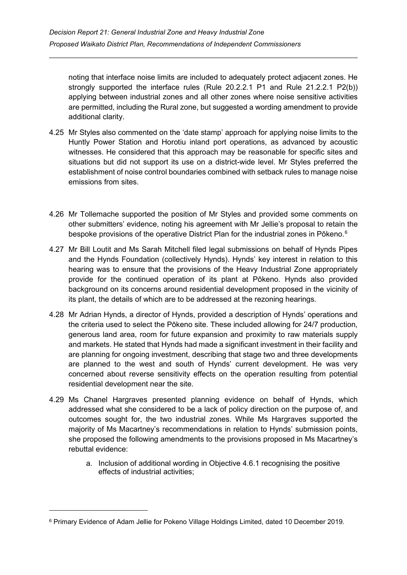noting that interface noise limits are included to adequately protect adjacent zones. He strongly supported the interface rules (Rule 20.2.2.1 P1 and Rule 21.2.2.1 P2(b)) applying between industrial zones and all other zones where noise sensitive activities are permitted, including the Rural zone, but suggested a wording amendment to provide additional clarity.

- 4.25 Mr Styles also commented on the 'date stamp' approach for applying noise limits to the Huntly Power Station and Horotiu inland port operations, as advanced by acoustic witnesses. He considered that this approach may be reasonable for specific sites and situations but did not support its use on a district-wide level. Mr Styles preferred the establishment of noise control boundaries combined with setback rules to manage noise emissions from sites.
- 4.26 Mr Tollemache supported the position of Mr Styles and provided some comments on other submitters' evidence, noting his agreement with Mr Jellie's proposal to retain the bespoke provisions of the operative District Plan for the industrial zones in Pōkeno. $^6$  $^6$
- 4.27 Mr Bill Loutit and Ms Sarah Mitchell filed legal submissions on behalf of Hynds Pipes and the Hynds Foundation (collectively Hynds). Hynds' key interest in relation to this hearing was to ensure that the provisions of the Heavy Industrial Zone appropriately provide for the continued operation of its plant at Pōkeno. Hynds also provided background on its concerns around residential development proposed in the vicinity of its plant, the details of which are to be addressed at the rezoning hearings.
- 4.28 Mr Adrian Hynds, a director of Hynds, provided a description of Hynds' operations and the criteria used to select the Pōkeno site. These included allowing for 24/7 production, generous land area, room for future expansion and proximity to raw materials supply and markets. He stated that Hynds had made a significant investment in their facility and are planning for ongoing investment, describing that stage two and three developments are planned to the west and south of Hynds' current development. He was very concerned about reverse sensitivity effects on the operation resulting from potential residential development near the site.
- 4.29 Ms Chanel Hargraves presented planning evidence on behalf of Hynds, which addressed what she considered to be a lack of policy direction on the purpose of, and outcomes sought for, the two industrial zones. While Ms Hargraves supported the majority of Ms Macartney's recommendations in relation to Hynds' submission points, she proposed the following amendments to the provisions proposed in Ms Macartney's rebuttal evidence:
	- a. Inclusion of additional wording in Objective 4.6.1 recognising the positive effects of industrial activities;

<span id="page-12-0"></span><sup>6</sup> Primary Evidence of Adam Jellie for Pokeno Village Holdings Limited, dated 10 December 2019.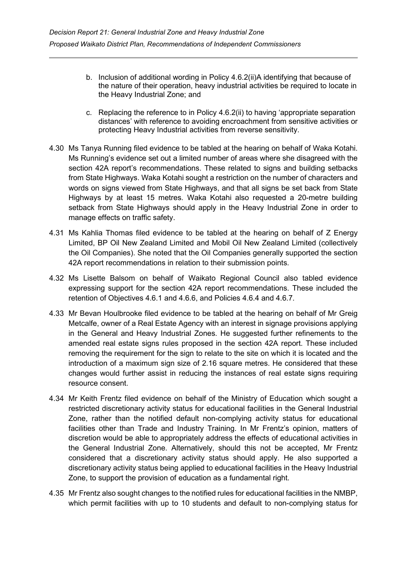- b. Inclusion of additional wording in Policy 4.6.2(ii)A identifying that because of the nature of their operation, heavy industrial activities be required to locate in the Heavy Industrial Zone; and
- c. Replacing the reference to in Policy 4.6.2(ii) to having 'appropriate separation distances' with reference to avoiding encroachment from sensitive activities or protecting Heavy Industrial activities from reverse sensitivity.
- 4.30 Ms Tanya Running filed evidence to be tabled at the hearing on behalf of Waka Kotahi. Ms Running's evidence set out a limited number of areas where she disagreed with the section 42A report's recommendations. These related to signs and building setbacks from State Highways. Waka Kotahi sought a restriction on the number of characters and words on signs viewed from State Highways, and that all signs be set back from State Highways by at least 15 metres. Waka Kotahi also requested a 20-metre building setback from State Highways should apply in the Heavy Industrial Zone in order to manage effects on traffic safety.
- 4.31 Ms Kahlia Thomas filed evidence to be tabled at the hearing on behalf of Z Energy Limited, BP Oil New Zealand Limited and Mobil Oil New Zealand Limited (collectively the Oil Companies). She noted that the Oil Companies generally supported the section 42A report recommendations in relation to their submission points.
- 4.32 Ms Lisette Balsom on behalf of Waikato Regional Council also tabled evidence expressing support for the section 42A report recommendations. These included the retention of Objectives 4.6.1 and 4.6.6, and Policies 4.6.4 and 4.6.7.
- 4.33 Mr Bevan Houlbrooke filed evidence to be tabled at the hearing on behalf of Mr Greig Metcalfe, owner of a Real Estate Agency with an interest in signage provisions applying in the General and Heavy Industrial Zones. He suggested further refinements to the amended real estate signs rules proposed in the section 42A report. These included removing the requirement for the sign to relate to the site on which it is located and the introduction of a maximum sign size of 2.16 square metres. He considered that these changes would further assist in reducing the instances of real estate signs requiring resource consent.
- 4.34 Mr Keith Frentz filed evidence on behalf of the Ministry of Education which sought a restricted discretionary activity status for educational facilities in the General Industrial Zone, rather than the notified default non-complying activity status for educational facilities other than Trade and Industry Training. In Mr Frentz's opinion, matters of discretion would be able to appropriately address the effects of educational activities in the General Industrial Zone. Alternatively, should this not be accepted, Mr Frentz considered that a discretionary activity status should apply. He also supported a discretionary activity status being applied to educational facilities in the Heavy Industrial Zone, to support the provision of education as a fundamental right.
- 4.35 Mr Frentz also sought changes to the notified rules for educational facilities in the NMBP, which permit facilities with up to 10 students and default to non-complying status for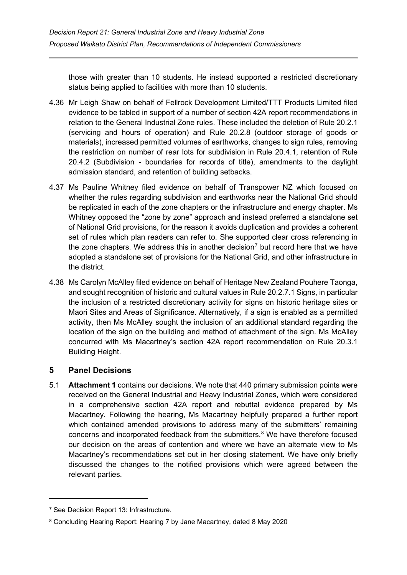those with greater than 10 students. He instead supported a restricted discretionary status being applied to facilities with more than 10 students.

- 4.36 Mr Leigh Shaw on behalf of Fellrock Development Limited/TTT Products Limited filed evidence to be tabled in support of a number of section 42A report recommendations in relation to the General Industrial Zone rules. These included the deletion of Rule 20.2.1 (servicing and hours of operation) and Rule 20.2.8 (outdoor storage of goods or materials), increased permitted volumes of earthworks, changes to sign rules, removing the restriction on number of rear lots for subdivision in Rule 20.4.1, retention of Rule 20.4.2 (Subdivision - boundaries for records of title), amendments to the daylight admission standard, and retention of building setbacks.
- 4.37 Ms Pauline Whitney filed evidence on behalf of Transpower NZ which focused on whether the rules regarding subdivision and earthworks near the National Grid should be replicated in each of the zone chapters or the infrastructure and energy chapter. Ms Whitney opposed the "zone by zone" approach and instead preferred a standalone set of National Grid provisions, for the reason it avoids duplication and provides a coherent set of rules which plan readers can refer to. She supported clear cross referencing in the zone chapters. We address this in another decision<sup>[7](#page-14-1)</sup> but record here that we have adopted a standalone set of provisions for the National Grid, and other infrastructure in the district.
- 4.38 Ms Carolyn McAlley filed evidence on behalf of Heritage New Zealand Pouhere Taonga, and sought recognition of historic and cultural values in Rule 20.2.7.1 Signs, in particular the inclusion of a restricted discretionary activity for signs on historic heritage sites or Maori Sites and Areas of Significance. Alternatively, if a sign is enabled as a permitted activity, then Ms McAlley sought the inclusion of an additional standard regarding the location of the sign on the building and method of attachment of the sign. Ms McAlley concurred with Ms Macartney's section 42A report recommendation on Rule 20.3.1 Building Height.

# <span id="page-14-0"></span>**5 Panel Decisions**

5.1 **Attachment 1** contains our decisions. We note that 440 primary submission points were received on the General Industrial and Heavy Industrial Zones, which were considered in a comprehensive section 42A report and rebuttal evidence prepared by Ms Macartney. Following the hearing, Ms Macartney helpfully prepared a further report which contained amended provisions to address many of the submitters' remaining concerns and incorporated feedback from the submitters. [8](#page-14-2) We have therefore focused our decision on the areas of contention and where we have an alternate view to Ms Macartney's recommendations set out in her closing statement. We have only briefly discussed the changes to the notified provisions which were agreed between the relevant parties.

<span id="page-14-1"></span><sup>7</sup> See Decision Report 13: Infrastructure.

<span id="page-14-2"></span><sup>8</sup> Concluding Hearing Report: Hearing 7 by Jane Macartney, dated 8 May 2020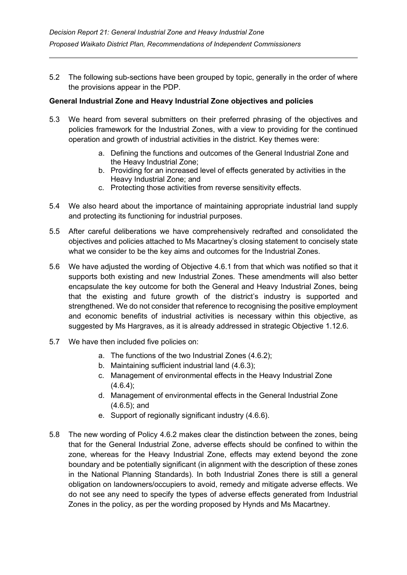5.2 The following sub-sections have been grouped by topic, generally in the order of where the provisions appear in the PDP.

# **General Industrial Zone and Heavy Industrial Zone objectives and policies**

- 5.3 We heard from several submitters on their preferred phrasing of the objectives and policies framework for the Industrial Zones, with a view to providing for the continued operation and growth of industrial activities in the district. Key themes were:
	- a. Defining the functions and outcomes of the General Industrial Zone and the Heavy Industrial Zone;
	- b. Providing for an increased level of effects generated by activities in the Heavy Industrial Zone; and
	- c. Protecting those activities from reverse sensitivity effects.
- 5.4 We also heard about the importance of maintaining appropriate industrial land supply and protecting its functioning for industrial purposes.
- 5.5 After careful deliberations we have comprehensively redrafted and consolidated the objectives and policies attached to Ms Macartney's closing statement to concisely state what we consider to be the key aims and outcomes for the Industrial Zones.
- 5.6 We have adjusted the wording of Objective 4.6.1 from that which was notified so that it supports both existing and new Industrial Zones. These amendments will also better encapsulate the key outcome for both the General and Heavy Industrial Zones, being that the existing and future growth of the district's industry is supported and strengthened. We do not consider that reference to recognising the positive employment and economic benefits of industrial activities is necessary within this objective, as suggested by Ms Hargraves, as it is already addressed in strategic Objective 1.12.6.
- 5.7 We have then included five policies on:
	- a. The functions of the two Industrial Zones (4.6.2);
	- b. Maintaining sufficient industrial land (4.6.3);
	- c. Management of environmental effects in the Heavy Industrial Zone  $(4.6.4)$ ;
	- d. Management of environmental effects in the General Industrial Zone (4.6.5); and
	- e. Support of regionally significant industry (4.6.6).
- 5.8 The new wording of Policy 4.6.2 makes clear the distinction between the zones, being that for the General Industrial Zone, adverse effects should be confined to within the zone, whereas for the Heavy Industrial Zone, effects may extend beyond the zone boundary and be potentially significant (in alignment with the description of these zones in the National Planning Standards). In both Industrial Zones there is still a general obligation on landowners/occupiers to avoid, remedy and mitigate adverse effects. We do not see any need to specify the types of adverse effects generated from Industrial Zones in the policy, as per the wording proposed by Hynds and Ms Macartney.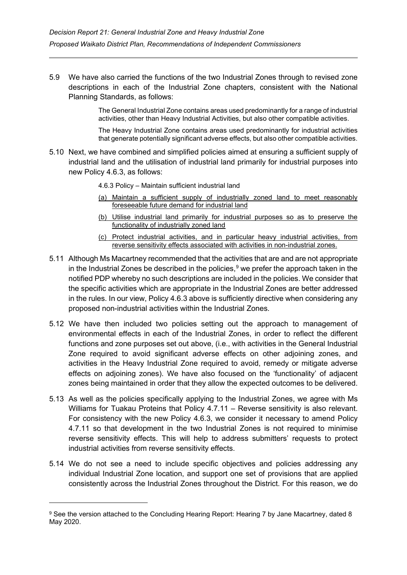5.9 We have also carried the functions of the two Industrial Zones through to revised zone descriptions in each of the Industrial Zone chapters, consistent with the National Planning Standards, as follows:

> The General Industrial Zone contains areas used predominantly for a range of industrial activities, other than Heavy Industrial Activities, but also other compatible activities.

> The Heavy Industrial Zone contains areas used predominantly for industrial activities that generate potentially significant adverse effects, but also other compatible activities.

5.10 Next, we have combined and simplified policies aimed at ensuring a sufficient supply of industrial land and the utilisation of industrial land primarily for industrial purposes into new Policy 4.6.3, as follows:

4.6.3 Policy – Maintain sufficient industrial land

- (a) Maintain a sufficient supply of industrially zoned land to meet reasonably foreseeable future demand for industrial land
- (b) Utilise industrial land primarily for industrial purposes so as to preserve the functionality of industrially zoned land
- (c) Protect industrial activities, and in particular heavy industrial activities, from reverse sensitivity effects associated with activities in non-industrial zones.
- 5.11 Although Ms Macartney recommended that the activities that are and are not appropriate in the Industrial Zones be described in the policies, [9](#page-16-0) we prefer the approach taken in the notified PDP whereby no such descriptions are included in the policies. We consider that the specific activities which are appropriate in the Industrial Zones are better addressed in the rules. In our view, Policy 4.6.3 above is sufficiently directive when considering any proposed non-industrial activities within the Industrial Zones.
- 5.12 We have then included two policies setting out the approach to management of environmental effects in each of the Industrial Zones, in order to reflect the different functions and zone purposes set out above, (i.e., with activities in the General Industrial Zone required to avoid significant adverse effects on other adjoining zones, and activities in the Heavy Industrial Zone required to avoid, remedy or mitigate adverse effects on adjoining zones). We have also focused on the 'functionality' of adjacent zones being maintained in order that they allow the expected outcomes to be delivered.
- 5.13 As well as the policies specifically applying to the Industrial Zones, we agree with Ms Williams for Tuakau Proteins that Policy 4.7.11 - Reverse sensitivity is also relevant. For consistency with the new Policy 4.6.3, we consider it necessary to amend Policy 4.7.11 so that development in the two Industrial Zones is not required to minimise reverse sensitivity effects. This will help to address submitters' requests to protect industrial activities from reverse sensitivity effects.
- 5.14 We do not see a need to include specific objectives and policies addressing any individual Industrial Zone location, and support one set of provisions that are applied consistently across the Industrial Zones throughout the District. For this reason, we do

<span id="page-16-0"></span><sup>9</sup> See the version attached to the Concluding Hearing Report: Hearing 7 by Jane Macartney, dated 8 May 2020.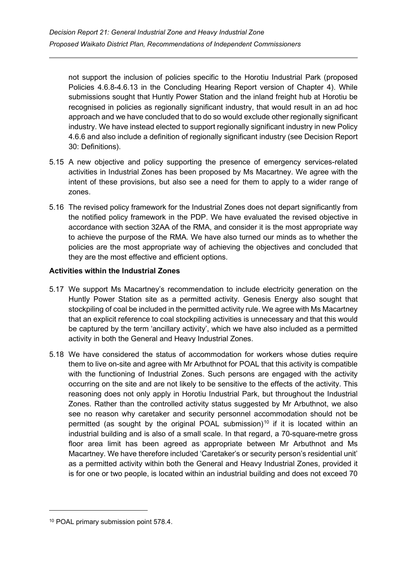not support the inclusion of policies specific to the Horotiu Industrial Park (proposed Policies 4.6.8-4.6.13 in the Concluding Hearing Report version of Chapter 4). While submissions sought that Huntly Power Station and the inland freight hub at Horotiu be recognised in policies as regionally significant industry, that would result in an ad hoc approach and we have concluded that to do so would exclude other regionally significant industry. We have instead elected to support regionally significant industry in new Policy 4.6.6 and also include a definition of regionally significant industry (see Decision Report 30: Definitions).

- 5.15 A new objective and policy supporting the presence of emergency services-related activities in Industrial Zones has been proposed by Ms Macartney. We agree with the intent of these provisions, but also see a need for them to apply to a wider range of zones.
- 5.16 The revised policy framework for the Industrial Zones does not depart significantly from the notified policy framework in the PDP. We have evaluated the revised objective in accordance with section 32AA of the RMA, and consider it is the most appropriate way to achieve the purpose of the RMA. We have also turned our minds as to whether the policies are the most appropriate way of achieving the objectives and concluded that they are the most effective and efficient options.

#### **Activities within the Industrial Zones**

- 5.17 We support Ms Macartney's recommendation to include electricity generation on the Huntly Power Station site as a permitted activity. Genesis Energy also sought that stockpiling of coal be included in the permitted activity rule. We agree with Ms Macartney that an explicit reference to coal stockpiling activities is unnecessary and that this would be captured by the term 'ancillary activity', which we have also included as a permitted activity in both the General and Heavy Industrial Zones.
- 5.18 We have considered the status of accommodation for workers whose duties require them to live on-site and agree with Mr Arbuthnot for POAL that this activity is compatible with the functioning of Industrial Zones. Such persons are engaged with the activity occurring on the site and are not likely to be sensitive to the effects of the activity. This reasoning does not only apply in Horotiu Industrial Park, but throughout the Industrial Zones. Rather than the controlled activity status suggested by Mr Arbuthnot, we also see no reason why caretaker and security personnel accommodation should not be permitted (as sought by the original POAL submission)<sup>[10](#page-17-0)</sup> if it is located within an industrial building and is also of a small scale. In that regard, a 70-square-metre gross floor area limit has been agreed as appropriate between Mr Arbuthnot and Ms Macartney. We have therefore included 'Caretaker's or security person's residential unit' as a permitted activity within both the General and Heavy Industrial Zones, provided it is for one or two people, is located within an industrial building and does not exceed 70

<span id="page-17-0"></span><sup>10</sup> POAL primary submission point 578.4.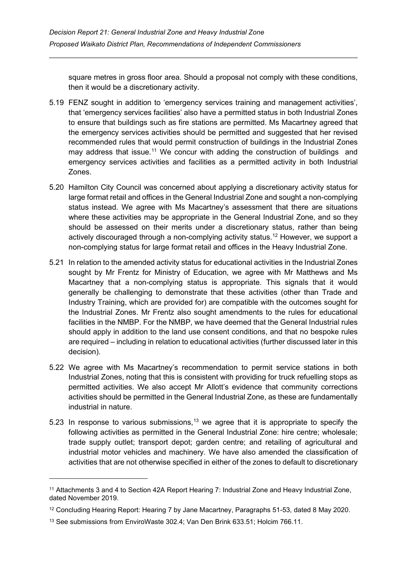square metres in gross floor area. Should a proposal not comply with these conditions, then it would be a discretionary activity.

- 5.19 FENZ sought in addition to 'emergency services training and management activities', that 'emergency services facilities' also have a permitted status in both Industrial Zones to ensure that buildings such as fire stations are permitted. Ms Macartney agreed that the emergency services activities should be permitted and suggested that her revised recommended rules that would permit construction of buildings in the Industrial Zones may address that issue.<sup>[11](#page-18-0)</sup> We concur with adding the construction of buildings and emergency services activities and facilities as a permitted activity in both Industrial Zones.
- 5.20 Hamilton City Council was concerned about applying a discretionary activity status for large format retail and offices in the General Industrial Zone and sought a non-complying status instead. We agree with Ms Macartney's assessment that there are situations where these activities may be appropriate in the General Industrial Zone, and so they should be assessed on their merits under a discretionary status, rather than being actively discouraged through a non-complying activity status.<sup>[12](#page-18-1)</sup> However, we support a non-complying status for large format retail and offices in the Heavy Industrial Zone.
- 5.21 In relation to the amended activity status for educational activities in the Industrial Zones sought by Mr Frentz for Ministry of Education, we agree with Mr Matthews and Ms Macartney that a non-complying status is appropriate. This signals that it would generally be challenging to demonstrate that these activities (other than Trade and Industry Training, which are provided for) are compatible with the outcomes sought for the Industrial Zones. Mr Frentz also sought amendments to the rules for educational facilities in the NMBP. For the NMBP, we have deemed that the General Industrial rules should apply in addition to the land use consent conditions, and that no bespoke rules are required – including in relation to educational activities (further discussed later in this decision).
- 5.22 We agree with Ms Macartney's recommendation to permit service stations in both Industrial Zones, noting that this is consistent with providing for truck refuelling stops as permitted activities. We also accept Mr Allott's evidence that community corrections activities should be permitted in the General Industrial Zone, as these are fundamentally industrial in nature.
- 5.23 In response to various submissions,  $13$  we agree that it is appropriate to specify the following activities as permitted in the General Industrial Zone: hire centre; wholesale; trade supply outlet; transport depot; garden centre; and retailing of agricultural and industrial motor vehicles and machinery. We have also amended the classification of activities that are not otherwise specified in either of the zones to default to discretionary

<span id="page-18-0"></span><sup>11</sup> Attachments 3 and 4 to Section 42A Report Hearing 7: Industrial Zone and Heavy Industrial Zone, dated November 2019.

<span id="page-18-1"></span><sup>12</sup> Concluding Hearing Report: Hearing 7 by Jane Macartney, Paragraphs 51-53, dated 8 May 2020.

<span id="page-18-2"></span><sup>13</sup> See submissions from EnviroWaste 302.4; Van Den Brink 633.51; Holcim 766.11.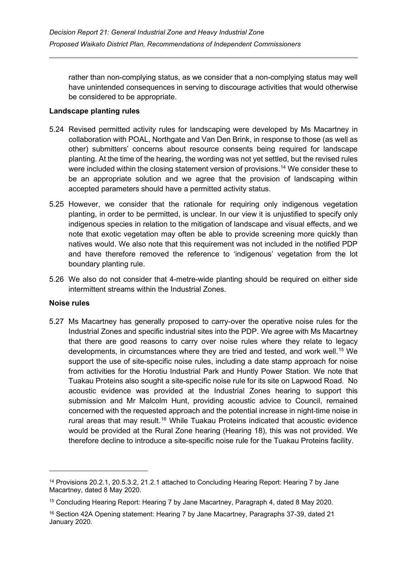rather than non-complying status, as we consider that a non-complying status may well have unintended consequences in serving to discourage activities that would otherwise be considered to be appropriate.

## **Landscape planting rules**

- 5.24 Revised permitted activity rules for landscaping were developed by Ms Macartney in collaboration with POAL, Northgate and Van Den Brink, in response to those (as well as other) submitters' concerns about resource consents being required for landscape planting. At the time of the hearing, the wording was not yet settled, but the revised rules were included within the closing statement version of provisions. [14](#page-19-0) We consider these to be an appropriate solution and we agree that the provision of landscaping within accepted parameters should have a permitted activity status.
- 5.25 However, we consider that the rationale for requiring only indigenous vegetation planting, in order to be permitted, is unclear. In our view it is unjustified to specify only indigenous species in relation to the mitigation of landscape and visual effects, and we note that exotic vegetation may often be able to provide screening more quickly than natives would. We also note that this requirement was not included in the notified PDP and have therefore removed the reference to 'indigenous' vegetation from the lot boundary planting rule.
- 5.26 We also do not consider that 4-metre-wide planting should be required on either side intermittent streams within the Industrial Zones.

#### **Noise rules**

5.27 Ms Macartney has generally proposed to carry-over the operative noise rules for the Industrial Zones and specific industrial sites into the PDP. We agree with Ms Macartney that there are good reasons to carry over noise rules where they relate to legacy developments, in circumstances where they are tried and tested, and work well.<sup>[15](#page-19-1)</sup> We support the use of site-specific noise rules, including a date stamp approach for noise from activities for the Horotiu Industrial Park and Huntly Power Station. We note that Tuakau Proteins also sought a site-specific noise rule for its site on Lapwood Road. No acoustic evidence was provided at the Industrial Zones hearing to support this submission and Mr Malcolm Hunt, providing acoustic advice to Council, remained concerned with the requested approach and the potential increase in night-time noise in rural areas that may result.<sup>[16](#page-19-2)</sup> While Tuakau Proteins indicated that acoustic evidence would be provided at the Rural Zone hearing (Hearing 18), this was not provided. We therefore decline to introduce a site-specific noise rule for the Tuakau Proteins facility.

<span id="page-19-0"></span><sup>&</sup>lt;sup>14</sup> Provisions 20.2.1, 20.5.3.2, 21.2.1 attached to Concluding Hearing Report: Hearing 7 by Jane Macartney, dated 8 May 2020.

<span id="page-19-1"></span><sup>15</sup> Concluding Hearing Report: Hearing 7 by Jane Macartney, Paragraph 4, dated 8 May 2020.

<span id="page-19-2"></span><sup>16</sup> Section 42A Opening statement: Hearing 7 by Jane Macartney, Paragraphs 37-39, dated 21 January 2020.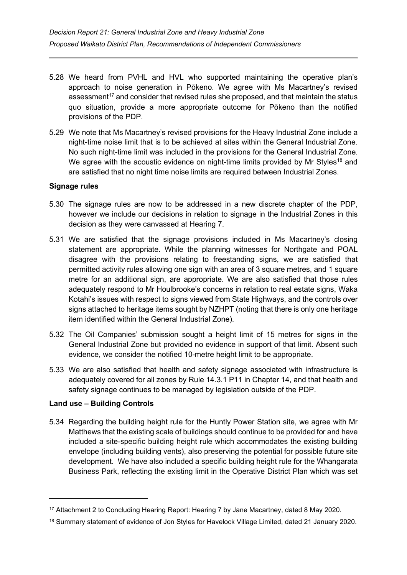- 5.28 We heard from PVHL and HVL who supported maintaining the operative plan's approach to noise generation in Pōkeno. We agree with Ms Macartney's revised assessment<sup>17</sup> and consider that revised rules she proposed, and that maintain the status quo situation, provide a more appropriate outcome for Pōkeno than the notified provisions of the PDP.
- 5.29 We note that Ms Macartney's revised provisions for the Heavy Industrial Zone include a night-time noise limit that is to be achieved at sites within the General Industrial Zone. No such night-time limit was included in the provisions for the General Industrial Zone. We agree with the acoustic evidence on night-time limits provided by Mr Styles<sup>[18](#page-20-1)</sup> and are satisfied that no night time noise limits are required between Industrial Zones.

#### **Signage rules**

- 5.30 The signage rules are now to be addressed in a new discrete chapter of the PDP, however we include our decisions in relation to signage in the Industrial Zones in this decision as they were canvassed at Hearing 7.
- 5.31 We are satisfied that the signage provisions included in Ms Macartney's closing statement are appropriate. While the planning witnesses for Northgate and POAL disagree with the provisions relating to freestanding signs, we are satisfied that permitted activity rules allowing one sign with an area of 3 square metres, and 1 square metre for an additional sign, are appropriate. We are also satisfied that those rules adequately respond to Mr Houlbrooke's concerns in relation to real estate signs, Waka Kotahi's issues with respect to signs viewed from State Highways, and the controls over signs attached to heritage items sought by NZHPT (noting that there is only one heritage item identified within the General Industrial Zone).
- 5.32 The Oil Companies' submission sought a height limit of 15 metres for signs in the General Industrial Zone but provided no evidence in support of that limit. Absent such evidence, we consider the notified 10-metre height limit to be appropriate.
- 5.33 We are also satisfied that health and safety signage associated with infrastructure is adequately covered for all zones by Rule 14.3.1 P11 in Chapter 14, and that health and safety signage continues to be managed by legislation outside of the PDP.

#### **Land use – Building Controls**

5.34 Regarding the building height rule for the Huntly Power Station site, we agree with Mr Matthews that the existing scale of buildings should continue to be provided for and have included a site-specific building height rule which accommodates the existing building envelope (including building vents), also preserving the potential for possible future site development. We have also included a specific building height rule for the Whangarata Business Park, reflecting the existing limit in the Operative District Plan which was set

<span id="page-20-0"></span><sup>17</sup> Attachment 2 to Concluding Hearing Report: Hearing 7 by Jane Macartney, dated 8 May 2020.

<span id="page-20-1"></span><sup>18</sup> Summary statement of evidence of Jon Styles for Havelock Village Limited, dated 21 January 2020.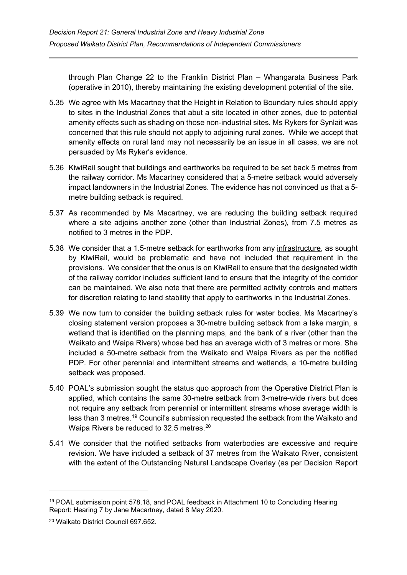through Plan Change 22 to the Franklin District Plan – Whangarata Business Park (operative in 2010), thereby maintaining the existing development potential of the site.

- 5.35 We agree with Ms Macartney that the Height in Relation to Boundary rules should apply to sites in the Industrial Zones that abut a site located in other zones, due to potential amenity effects such as shading on those non-industrial sites. Ms Rykers for Synlait was concerned that this rule should not apply to adjoining rural zones. While we accept that amenity effects on rural land may not necessarily be an issue in all cases, we are not persuaded by Ms Ryker's evidence.
- 5.36 KiwiRail sought that buildings and earthworks be required to be set back 5 metres from the railway corridor. Ms Macartney considered that a 5-metre setback would adversely impact landowners in the Industrial Zones. The evidence has not convinced us that a 5 metre building setback is required.
- 5.37 As recommended by Ms Macartney, we are reducing the building setback required where a site adjoins another zone (other than Industrial Zones), from 7.5 metres as notified to 3 metres in the PDP.
- 5.38 We consider that a 1.5-metre setback for earthworks from any infrastructure, as sought by KiwiRail, would be problematic and have not included that requirement in the provisions. We consider that the onus is on KiwiRail to ensure that the designated width of the railway corridor includes sufficient land to ensure that the integrity of the corridor can be maintained. We also note that there are permitted activity controls and matters for discretion relating to land stability that apply to earthworks in the Industrial Zones.
- 5.39 We now turn to consider the building setback rules for water bodies. Ms Macartney's closing statement version proposes a 30-metre building setback from a lake margin, a wetland that is identified on the planning maps, and the bank of a river (other than the Waikato and Waipa Rivers) whose bed has an average width of 3 metres or more. She included a 50-metre setback from the Waikato and Waipa Rivers as per the notified PDP. For other perennial and intermittent streams and wetlands, a 10-metre building setback was proposed.
- 5.40 POAL's submission sought the status quo approach from the Operative District Plan is applied, which contains the same 30-metre setback from 3-metre-wide rivers but does not require any setback from perennial or intermittent streams whose average width is less than 3 metres. [19](#page-21-0) Council's submission requested the setback from the Waikato and Waipa Rivers be reduced to 32.5 metres. $^\mathrm{20}$  $^\mathrm{20}$  $^\mathrm{20}$
- 5.41 We consider that the notified setbacks from waterbodies are excessive and require revision. We have included a setback of 37 metres from the Waikato River, consistent with the extent of the Outstanding Natural Landscape Overlay (as per Decision Report

<span id="page-21-0"></span><sup>19</sup> POAL submission point 578.18, and POAL feedback in Attachment 10 to Concluding Hearing Report: Hearing 7 by Jane Macartney, dated 8 May 2020.

<span id="page-21-1"></span><sup>20</sup> Waikato District Council 697.652.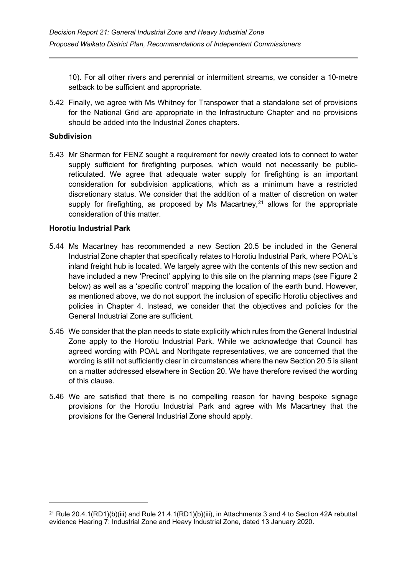10). For all other rivers and perennial or intermittent streams, we consider a 10-metre setback to be sufficient and appropriate.

5.42 Finally, we agree with Ms Whitney for Transpower that a standalone set of provisions for the National Grid are appropriate in the Infrastructure Chapter and no provisions should be added into the Industrial Zones chapters.

#### **Subdivision**

5.43 Mr Sharman for FENZ sought a requirement for newly created lots to connect to water supply sufficient for firefighting purposes, which would not necessarily be publicreticulated. We agree that adequate water supply for firefighting is an important consideration for subdivision applications, which as a minimum have a restricted discretionary status. We consider that the addition of a matter of discretion on water supply for firefighting, as proposed by Ms Macartney, $2<sup>1</sup>$  allows for the appropriate consideration of this matter.

#### **Horotiu Industrial Park**

- 5.44 Ms Macartney has recommended a new Section 20.5 be included in the General Industrial Zone chapter that specifically relates to Horotiu Industrial Park, where POAL's inland freight hub is located. We largely agree with the contents of this new section and have included a new 'Precinct' applying to this site on the planning maps (see Figure 2 below) as well as a 'specific control' mapping the location of the earth bund. However, as mentioned above, we do not support the inclusion of specific Horotiu objectives and policies in Chapter 4. Instead, we consider that the objectives and policies for the General Industrial Zone are sufficient.
- 5.45 We consider that the plan needs to state explicitly which rules from the General Industrial Zone apply to the Horotiu Industrial Park. While we acknowledge that Council has agreed wording with POAL and Northgate representatives, we are concerned that the wording is still not sufficiently clear in circumstances where the new Section 20.5 is silent on a matter addressed elsewhere in Section 20. We have therefore revised the wording of this clause.
- 5.46 We are satisfied that there is no compelling reason for having bespoke signage provisions for the Horotiu Industrial Park and agree with Ms Macartney that the provisions for the General Industrial Zone should apply.

<span id="page-22-0"></span><sup>&</sup>lt;sup>21</sup> Rule 20.4.1(RD1)(b)(iii) and Rule  $21.4.1(RD1)(b)$ (iii), in Attachments 3 and 4 to Section 42A rebuttal evidence Hearing 7: Industrial Zone and Heavy Industrial Zone, dated 13 January 2020.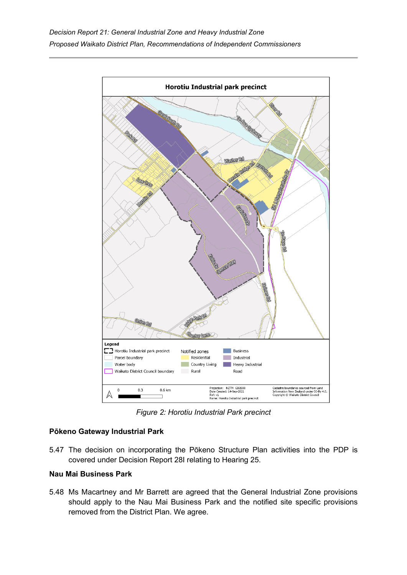

*Figure 2: Horotiu Industrial Park precinct*

# **Pōkeno Gateway Industrial Park**

5.47 The decision on incorporating the Pōkeno Structure Plan activities into the PDP is covered under Decision Report 28I relating to Hearing 25.

#### **Nau Mai Business Park**

5.48 Ms Macartney and Mr Barrett are agreed that the General Industrial Zone provisions should apply to the Nau Mai Business Park and the notified site specific provisions removed from the District Plan. We agree.